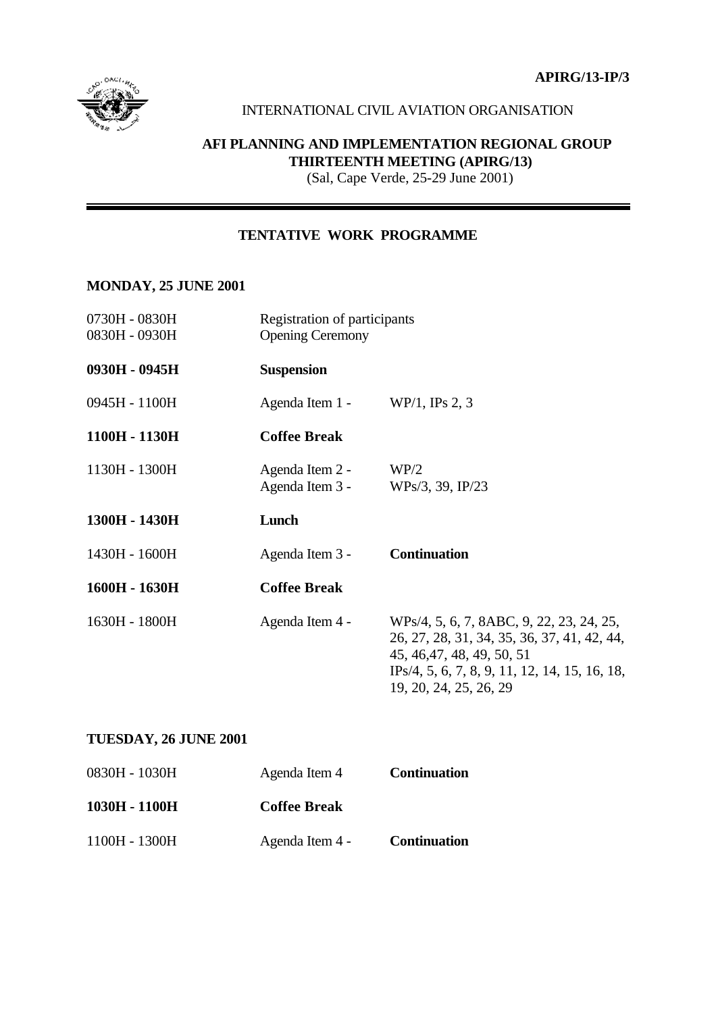**APIRG/13-IP/3**



#### INTERNATIONAL CIVIL AVIATION ORGANISATION

## **AFI PLANNING AND IMPLEMENTATION REGIONAL GROUP THIRTEENTH MEETING (APIRG/13)**

(Sal, Cape Verde, 25-29 June 2001)

#### **TENTATIVE WORK PROGRAMME**

#### **MONDAY, 25 JUNE 2001**

| 0730H - 0830H<br>0830H - 0930H | Registration of participants<br><b>Opening Ceremony</b> |                                                                                                                                                                                                    |
|--------------------------------|---------------------------------------------------------|----------------------------------------------------------------------------------------------------------------------------------------------------------------------------------------------------|
| 0930H - 0945H                  | <b>Suspension</b>                                       |                                                                                                                                                                                                    |
| 0945H - 1100H                  | Agenda Item $1 - WP/1$ , IPs 2, 3                       |                                                                                                                                                                                                    |
| 1100H - 1130H                  | <b>Coffee Break</b>                                     |                                                                                                                                                                                                    |
| 1130H - 1300H                  | Agenda Item 2 -<br>Agenda Item 3 -                      | WP/2<br>WPs/3, 39, IP/23                                                                                                                                                                           |
| 1300H - 1430H                  | Lunch                                                   |                                                                                                                                                                                                    |
| 1430H - 1600H                  | Agenda Item 3 -                                         | <b>Continuation</b>                                                                                                                                                                                |
| 1600H - 1630H                  | <b>Coffee Break</b>                                     |                                                                                                                                                                                                    |
| 1630H - 1800H                  | Agenda Item 4 -                                         | WPs/4, 5, 6, 7, 8ABC, 9, 22, 23, 24, 25,<br>26, 27, 28, 31, 34, 35, 36, 37, 41, 42, 44,<br>45, 46, 47, 48, 49, 50, 51<br>$IPs/4, 5, 6, 7, 8, 9, 11, 12, 14, 15, 16, 18,$<br>19, 20, 24, 25, 26, 29 |

#### **TUESDAY, 26 JUNE 2001**

| 0830H - 1030H | Agenda Item 4       | <b>Continuation</b> |
|---------------|---------------------|---------------------|
| 1030H - 1100H | <b>Coffee Break</b> |                     |
| 1100H - 1300H | Agenda Item 4 -     | <b>Continuation</b> |